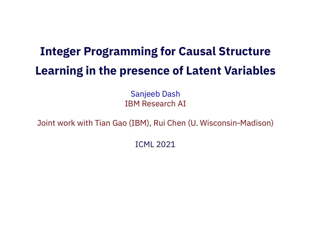# **Integer Programming for Causal Structure Learning in the presence of Latent Variables**

Sanjeeb Dash IBM Research AI

Joint work with Tian Gao (IBM), Rui Chen (U. Wisconsin-Madison)

ICML 2021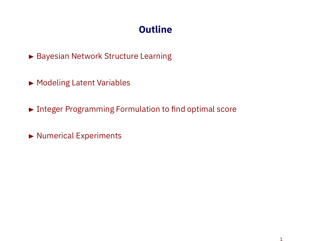# **Outline**

▶ Bayesian Network Structure Learning

- ▶ Modeling Latent Variables
- ▶ Integer Programming Formulation to find optimal score
- Numerical Experiments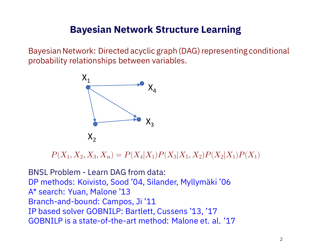### **Bayesian Network Structure Learning**

Bayesian Network: Directed acyclic graph (DAG) representing conditional probability relationships between variables.



 $P(X_1, X_2, X_3, X_n) = P(X_4|X_1)P(X_3|X_1, X_2)P(X_2|X_1)P(X_1)$ 

BNSL Problem - Learn DAG from data: DP methods: Koivisto, Sood '04, Silander, Myllymäki '06 A\* search: Yuan, Malone '13 Branch-and-bound: Campos, Ji '11 IP based solver GOBNILP: Bartlett, Cussens '13, '17 GOBNILP is a state-of-the-art method: Malone et. al. '17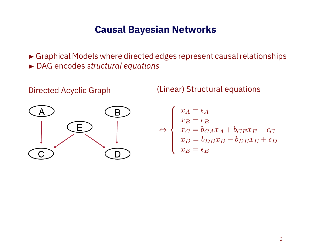#### **Causal Bayesian Networks**

 Graphical Models where directed edges represent causal relationships DAG encodes *structural equations*



Directed Acyclic Graph (Linear) Structural equations

$$
\Leftrightarrow \begin{cases}\nx_A = \epsilon_A \\
x_B = \epsilon_B \\
x_C = b_{C A} x_A + b_{C E} x_E + \epsilon_C \\
x_D = b_{DB} x_B + b_{D E} x_E + \epsilon_D \\
x_E = \epsilon_E\n\end{cases}
$$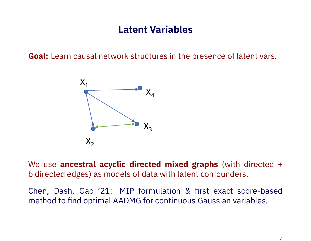## **Latent Variables**

**Goal:** Learn causal network structures in the presence of latent vars.



We use **ancestral acyclic directed mixed graphs** (with directed + bidirected edges) as models of data with latent confounders.

Chen, Dash, Gao '21: MIP formulation & first exact score-based method to find optimal AADMG for continuous Gaussian variables.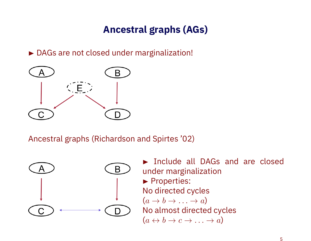# **Ancestral graphs (AGs)**

▶ DAGs are not closed under marginalization!



Ancestral graphs (Richardson and Spirtes '02)



**Include all DAGs and are closed** under marginalization Properties: No directed cycles  $(a \rightarrow b \rightarrow \ldots \rightarrow a)$ No almost directed cycles  $(a \leftrightarrow b \to c \to \ldots \to a)$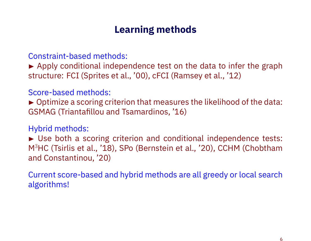## **Learning methods**

Constraint-based methods:

Apply conditional independence test on the data to infer the graph structure: FCI (Sprites et al., '00), cFCI (Ramsey et al., '12)

Score-based methods:

▶ Optimize a scoring criterion that measures the likelihood of the data: GSMAG (Triantafillou and Tsamardinos, '16)

Hybrid methods:

► Use both a scoring criterion and conditional independence tests: M<sup>3</sup>HC (Tsirlis et al., '18), SPo (Bernstein et al., '20), CCHM (Chobtham and Constantinou, '20)

Current score-based and hybrid methods are all greedy or local search algorithms!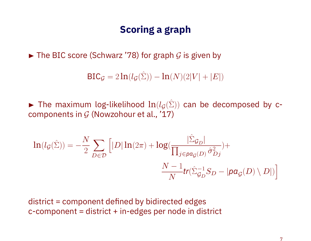## **Scoring a graph**

► The BIC score (Schwarz '78) for graph *G* is given by

 $BIC_G = 2 \ln(l_G(\hat{\Sigma})) - \ln(N)(2|V| + |E|)$ 

The maximum log-likelihood  $\ln(l_G(\hat{\Sigma}))$  can be decomposed by ccomponents in *G* (Nowzohour et al., '17)

$$
\begin{aligned} \text{ln}(l_{\mathcal{G}}(\hat{\Sigma}))=-\frac{N}{2}\sum_{D\in\mathcal{D}}\Big[|D|\ln(2\pi)+\log(\frac{|\hat{\Sigma}_{\mathcal{G}_D}|}{\prod_{j\in pa_{\mathcal{G}}(D)}\hat{\sigma}^2_{Dj}})+\\ &\frac{N-1}{N} \text{tr}(\hat{\Sigma}_{\mathcal{G}_D}^{-1}S_D-|\text{pa}_{\mathcal{G}}(D)\setminus D|)\Big] \end{aligned}
$$

district = component defined by bidirected edges  $c$ -component = district  $+$  in-edges per node in district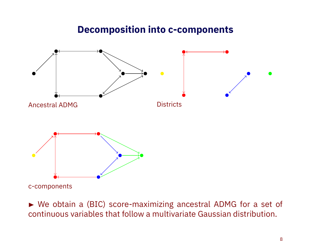#### **Decomposition into c-components**



c-components

 We obtain a (BIC) score-maximizing ancestral ADMG for a set of continuous variables that follow a multivariate Gaussian distribution.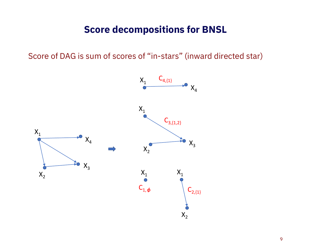#### **Score decompositions for BNSL**

Score of DAG is sum of scores of "in-stars" (inward directed star)

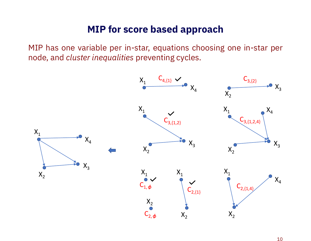### **MIP for score based approach**

MIP has one variable per in-star, equations choosing one in-star per node, and *cluster inequalities* preventing cycles.

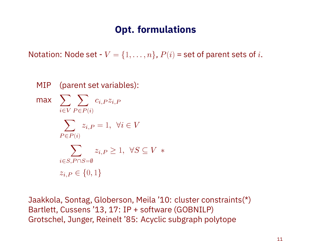## **Opt. formulations**

Notation: Node set -  $V = \{1, \ldots, n\}$ ,  $P(i)$  = set of parent sets of *i*.

MIP (parent set variables):  $max$   $\sum$   $\sum$   $c_{i,P} z_{i,P}$ *i∈V P ∈P* (*i*) ∑ *zi,P* = 1*, ∀i ∈ V*  $P \in P(i)$  $\sum$  *z*<sub>*i,P*</sub> ≥ 1*,*  $\forall S \subseteq V$  \* *i∈S,P ∩S*=*∅ zi,P ∈ {*0*,* 1*}*

Jaakkola, Sontag, Globerson, Meila '10: cluster constraints(\*) Bartlett, Cussens '13, 17: IP + software (GOBNILP) Grotschel, Junger, Reinelt '85: Acyclic subgraph polytope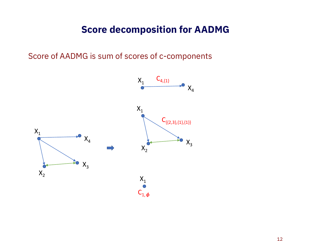### **Score decomposition for AADMG**

Score of AADMG is sum of scores of c-components

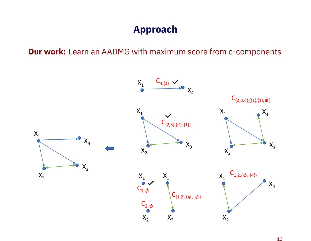# **Approach**

**Our work:** Learn an AADMG with maximum score from c-components

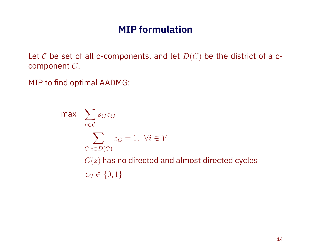## **MIP formulation**

Let *C* be set of all c-components, and let *D*(*C*) be the district of a ccomponent *C*.

MIP to find optimal AADMG:

max  $\sum$ *c∈C sCz<sup>C</sup>* ∑ *z<sup>C</sup>* = 1*, ∀i ∈ V C*:*i∈D*(*C*) *G*(*z*) has no directed and almost directed cycles *z<sup>C</sup> ∈ {*0*,* 1*}*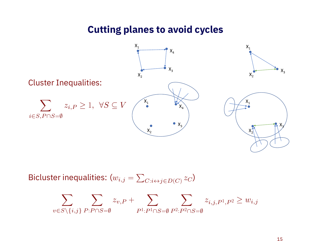#### **Cutting planes to avoid cycles**



Bicluster inequalities:  $(w_{i,j} = \sum$  $C: i \leftrightarrow j \in D(C) \n\overset{\mathcal{Z}}{=} C$ 

$$
\sum_{v \in S \setminus \{i,j\}} \sum_{P: P \cap S = \emptyset} z_{v,P} + \sum_{P^1: P^1 \cap S = \emptyset} \sum_{P^2: P^2 \cap S = \emptyset} z_{i,j,P^1,P^2} \geq w_{i,j}
$$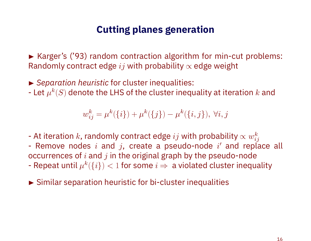#### **Cutting planes generation**

► Karger's ('93) random contraction algorithm for min-cut problems: Randomly contract edge *ij* with probability *∝* edge weight

*Separation heuristic* for cluster inequalities:

- Let  $\mu^k(S)$  denote the LHS of the cluster inequality at iteration  $k$  and

 $w_{ij}^k = \mu^k(\{i\}) + \mu^k(\{j\}) - \mu^k(\{i,j\}), \forall i, j$ 

- At iteration *k*, randomly contract edge *ij* with probability *∝ w k*  $\it{ij}$
- Remove nodes *i* and *j*, create a pseudo-node *i ′* and replace all occurrences of *i* and *j* in the original graph by the pseudo-node
- Repeat until  $\mu^k(\{i\}) < 1$  for some  $i \Rightarrow \text{ a violated cluster inequality}$
- Similar separation heuristic for bi-cluster inequalities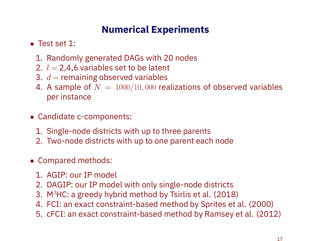# **Numerical Experiments**

- *•* Test set 1:
	- 1. Randomly generated DAGs with 20 nodes
	- 2.  $l = 2,4,6$  variables set to be latent
	- 3.  $d =$  remaining observed variables
	- 4. A sample of *N* = 1000/10*,* 000 realizations of observed variables per instance
- *•* Candidate c-components:
	- 1. Single-node districts with up to three parents
	- 2. Two-node districts with up to one parent each node
- *•* Compared methods:
	- 1. AGIP: our IP model
	- 2. DAGIP: our IP model with only single-node districts
	- 3. M<sup>3</sup>HC: a greedy hybrid method by Tsirlis et al.  $(2018)$
	- 4. FCI: an exact constraint-based method by Sprites et al. (2000)
	- 5. cFCI: an exact constraint-based method by Ramsey et al. (2012)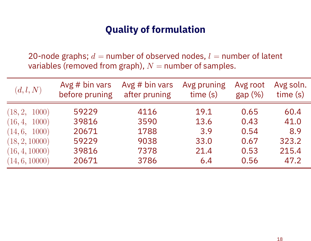## **Quality of formulation**

20-node graphs;  $d =$  number of observed nodes,  $l =$  number of latent variables (removed from graph),  $N =$  number of samples.

| (d,l,N)        | Avg $# bin vars$ | Avg $# bin vars$ | Avg pruning | Avg root | Avg soln. |
|----------------|------------------|------------------|-------------|----------|-----------|
|                | before pruning   | after pruning    | time(s)     | gap(%)   | time(s)   |
| (18, 2, 1000)  | 59229            | 4116             | 19.1        | 0.65     | 60.4      |
| (16, 4, 1000)  | 39816            | 3590             | 13.6        | 0.43     | 41.0      |
| (14, 6, 1000)  | 20671            | 1788             | 3.9         | 0.54     | 8.9       |
| (18, 2, 10000) | 59229            | 9038             | 33.0        | 0.67     | 323.2     |
| (16, 4, 10000) | 39816            | 7378             | 21.4        | 0.53     | 215.4     |
| (14, 6, 10000) | 20671            | 3786             | 6.4         | 0.56     | 47.2      |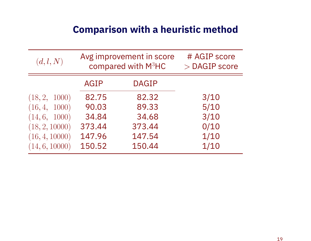## **Comparison with a heuristic method**

| (d, l, N)      |             | Avg improvement in score<br>compared with M <sup>3</sup> HC | # AGIP score<br>$>$ DAGIP score |  |  |
|----------------|-------------|-------------------------------------------------------------|---------------------------------|--|--|
|                | <b>AGIP</b> | <b>DAGIP</b>                                                |                                 |  |  |
| (18, 2, 1000)  | 82.75       | 82.32                                                       | 3/10                            |  |  |
| (16, 4, 1000)  | 90.03       | 89.33                                                       | 5/10                            |  |  |
| (14, 6, 1000)  | 34.84       | 34.68                                                       | 3/10                            |  |  |
| (18, 2, 10000) | 373.44      | 373.44                                                      | 0/10                            |  |  |
| (16, 4, 10000) | 147.96      | 147.54                                                      | 1/10                            |  |  |
| (14, 6, 10000) | 150.52      | 150.44                                                      | 1/10                            |  |  |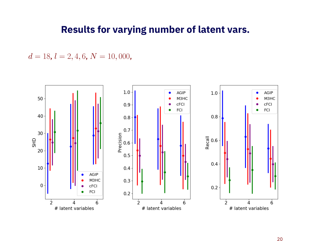#### **Results for varying number of latent vars.**

 $d = 18$ ,  $l = 2, 4, 6$ ,  $N = 10,000$ ,